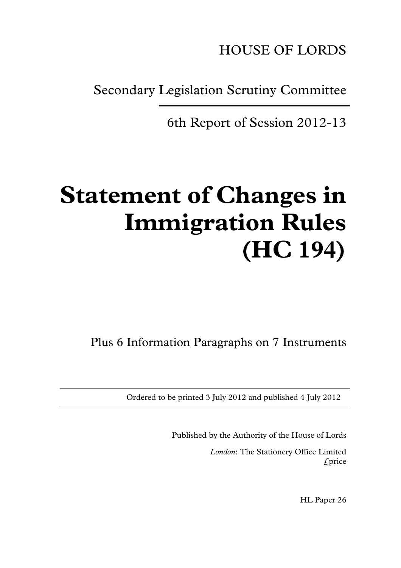HOUSE OF LORDS

Secondary Legislation Scrutiny Committee

6th Report of Session 2012-13

# **Statement of Changes in Immigration Rules (HC 194)**

Plus 6 Information Paragraphs on 7 Instruments

Ordered to be printed 3 July 2012 and published 4 July 2012

Published by the Authority of the House of Lords

*London*: The Stationery Office Limited  $\mathcal{L}$ price

HL Paper 26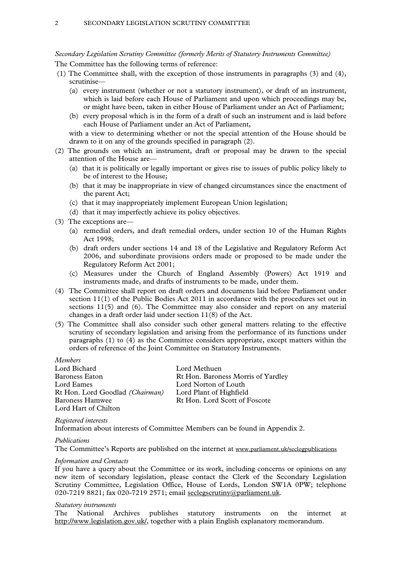#### *Secondary Legislation Scrutiny Committee (formerly Merits of Statutory Instruments Committee)*

The Committee has the following terms of reference:

- (1) The Committee shall, with the exception of those instruments in paragraphs (3) and (4), scrutinise—
	- (a) every instrument (whether or not a statutory instrument), or draft of an instrument, which is laid before each House of Parliament and upon which proceedings may be, or might have been, taken in either House of Parliament under an Act of Parliament;
	- (b) every proposal which is in the form of a draft of such an instrument and is laid before each House of Parliament under an Act of Parliament,

with a view to determining whether or not the special attention of the House should be drawn to it on any of the grounds specified in paragraph (2).

- (2) The grounds on which an instrument, draft or proposal may be drawn to the special attention of the House are—
	- (a) that it is politically or legally important or gives rise to issues of public policy likely to be of interest to the House;
	- (b) that it may be inappropriate in view of changed circumstances since the enactment of the parent Act;
	- (c) that it may inappropriately implement European Union legislation;
	- (d) that it may imperfectly achieve its policy objectives.
- (3) The exceptions are—
	- (a) remedial orders, and draft remedial orders, under section 10 of the Human Rights Act 1998;
	- (b) draft orders under sections 14 and 18 of the Legislative and Regulatory Reform Act 2006, and subordinate provisions orders made or proposed to be made under the Regulatory Reform Act 2001;
	- (c) Measures under the Church of England Assembly (Powers) Act 1919 and instruments made, and drafts of instruments to be made, under them.
- (4) The Committee shall report on draft orders and documents laid before Parliament under section 11(1) of the Public Bodies Act 2011 in accordance with the procedures set out in sections 11(5) and (6). The Committee may also consider and report on any material changes in a draft order laid under section 11(8) of the Act.
- (5) The Committee shall also consider such other general matters relating to the effective scrutiny of secondary legislation and arising from the performance of its functions under paragraphs (1) to (4) as the Committee considers appropriate, except matters within the orders of reference of the Joint Committee on Statutory Instruments.

*Members*  Lord Bichard Lord Methuen Baroness Eaton Rt Hon. Baroness Morris of Yardley Lord Eames Lord Norton of Louth Rt Hon. Lord Goodlad *(Chairman)* Lord Plant of Highfield Baroness Hamwee Rt Hon. Lord Scott of Foscote Lord Hart of Chilton

*Registered interests* 

Information about interests of Committee Members can be found in Appendix 2.

#### *Publications*

The Committee's Reports are published on the internet at [www.parliament.uk/seclegpublications](http://www.parliament.uk/seclegpublications)

#### *Information and Contacts*

If you have a query about the Committee or its work, including concerns or opinions on any new item of secondary legislation, please contact the Clerk of the Secondary Legislation Scrutiny Committee, Legislation Office, House of Lords, London SW1A 0PW; telephone 020-7219 8821; fax 020-7219 2571; email [seclegscrutiny@parliament.uk.](mailto:seclegscrutiny@parliament.uk)

#### *Statutory instruments*

The National Archives publishes statutory instruments on the internet at [http://www.legislation.gov.uk/,](http://www.legislation.gov.uk/) together with a plain English explanatory memorandum.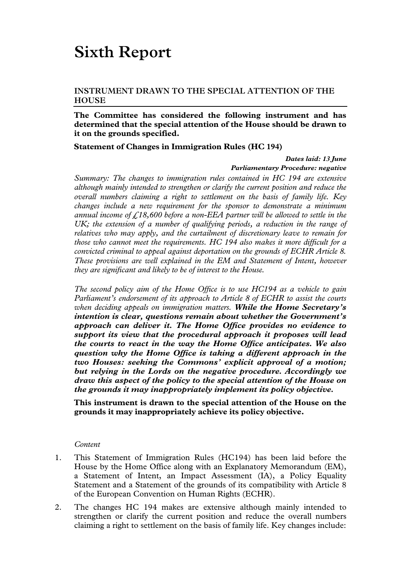# **Sixth Report**

#### **INSTRUMENT DRAWN TO THE SPECIAL ATTENTION OF THE HOUSE**

**The Committee has considered the following instrument and has determined that the special attention of the House should be drawn to it on the grounds specified.** 

**Statement of Changes in Immigration Rules (HC 194)** 

*Dates laid: 13 June Parliamentary Procedure: negative* 

*Summary: The changes to immigration rules contained in HC 194 are extensive although mainly intended to strengthen or clarify the current position and reduce the overall numbers claiming a right to settlement on the basis of family life. Key changes include a new requirement for the sponsor to demonstrate a minimum annual income of £18,600 before a non-EEA partner will be allowed to settle in the UK; the extension of a number of qualifying periods, a reduction in the range of relatives who may apply, and the curtailment of discretionary leave to remain for those who cannot meet the requirements. HC 194 also makes it more difficult for a convicted criminal to appeal against deportation on the grounds of ECHR Article 8. These provisions are well explained in the EM and Statement of Intent, however they are significant and likely to be of interest to the House.* 

*The second policy aim of the Home Office is to use HC194 as a vehicle to gain Parliament's endorsement of its approach to Article 8 of ECHR to assist the courts when deciding appeals on immigration matters. While the Home Secretary's intention is clear, questions remain about whether the Government's approach can deliver it. The Home Office provides no evidence to support its view that the procedural approach it proposes will lead the courts to react in the way the Home Office anticipates. We also question why the Home Office is taking a different approach in the two Houses: seeking the Commons' explicit approval of a motion; but relying in the Lords on the negative procedure. Accordingly we draw this aspect of the policy to the special attention of the House on the grounds it may inappropriately implement its policy objective.* 

**This instrument is drawn to the special attention of the House on the grounds it may inappropriately achieve its policy objective.** 

#### *Content*

- 1. This Statement of Immigration Rules (HC194) has been laid before the House by the Home Office along with an Explanatory Memorandum (EM), a Statement of Intent, an Impact Assessment (IA), a Policy Equality Statement and a Statement of the grounds of its compatibility with Article 8 of the European Convention on Human Rights (ECHR).
- 2. The changes HC 194 makes are extensive although mainly intended to strengthen or clarify the current position and reduce the overall numbers claiming a right to settlement on the basis of family life. Key changes include: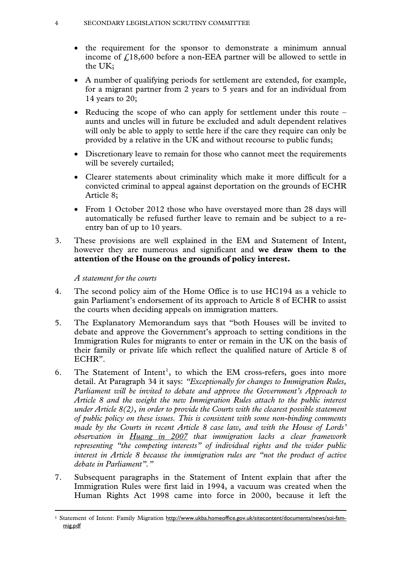- the requirement for the sponsor to demonstrate a minimum annual income of  $f<sub>18,600</sub>$  before a non-EEA partner will be allowed to settle in the UK;
- A number of qualifying periods for settlement are extended, for example, for a migrant partner from 2 years to 5 years and for an individual from 14 years to 20;
- Reducing the scope of who can apply for settlement under this route aunts and uncles will in future be excluded and adult dependent relatives will only be able to apply to settle here if the care they require can only be provided by a relative in the UK and without recourse to public funds;
- Discretionary leave to remain for those who cannot meet the requirements will be severely curtailed;
- Clearer statements about criminality which make it more difficult for a convicted criminal to appeal against deportation on the grounds of ECHR Article 8;
- From 1 October 2012 those who have overstayed more than 28 days will automatically be refused further leave to remain and be subject to a reentry ban of up to 10 years.
- 3. These provisions are well explained in the EM and Statement of Intent, however they are numerous and significant and **we draw them to the attention of the House on the grounds of policy interest.**

#### *A statement for the courts*

 $\overline{a}$ 

- 4. The second policy aim of the Home Office is to use HC194 as a vehicle to gain Parliament's endorsement of its approach to Article 8 of ECHR to assist the courts when deciding appeals on immigration matters.
- 5. The Explanatory Memorandum says that "both Houses will be invited to debate and approve the Government's approach to setting conditions in the Immigration Rules for migrants to enter or remain in the UK on the basis of their family or private life which reflect the qualified nature of Article 8 of ECHR".
- 6. The Statement of Intent<sup>[1](#page-3-0)</sup>, to which the EM cross-refers, goes into more detail. At Paragraph 34 it says: *"Exceptionally for changes to Immigration Rules, Parliament will be invited to debate and approve the Government's Approach to Article 8 and the weight the new Immigration Rules attach to the public interest under Article 8(2), in order to provide the Courts with the clearest possible statement of public policy on these issues. This is consistent with some non-binding comments made by the Courts in recent Article 8 case law, and with the House of Lords' observation in Huang in 2007 that immigration lacks a clear framework representing "the competing interests" of individual rights and the wider public interest in Article 8 because the immigration rules are "not the product of active debate in Parliament"."*
- 7. Subsequent paragraphs in the Statement of Intent explain that after the Immigration Rules were first laid in 1994, a vacuum was created when the Human Rights Act 1998 came into force in 2000, because it left the

<span id="page-3-0"></span><sup>&</sup>lt;sup>1</sup> Statement of Intent: Family Migration [http://www.ukba.homeoffice.gov.uk/sitecontent/documents/news/soi-fam](http://www.ukba.homeoffice.gov.uk/sitecontent/documents/news/soi-fam-mig.pdf)[mig.pdf](http://www.ukba.homeoffice.gov.uk/sitecontent/documents/news/soi-fam-mig.pdf)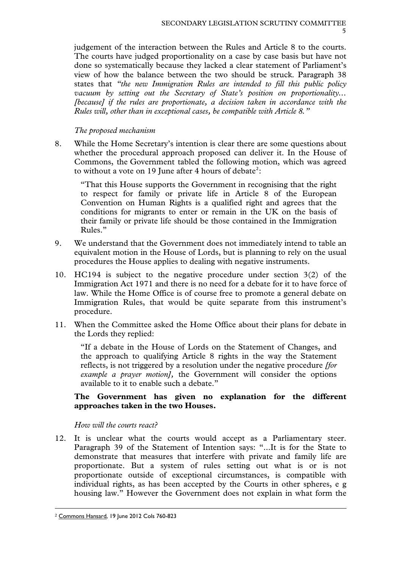judgement of the interaction between the Rules and Article 8 to the courts. The courts have judged proportionality on a case by case basis but have not done so systematically because they lacked a clear statement of Parliament's view of how the balance between the two should be struck. Paragraph 38 states that *"the new Immigration Rules are intended to fill this public policy vacuum by setting out the Secretary of State's position on proportionality... [because] if the rules are proportionate, a decision taken in accordance with the Rules will, other than in exceptional cases, be compatible with Article 8."*

# *The proposed mechanism*

8. While the Home Secretary's intention is clear there are some questions about whether the procedural approach proposed can deliver it. In the House of Commons, the Government tabled the following motion, which was agreed to without a vote on 19 June after 4 hours of debate<sup>[2](#page-4-0)</sup>:

"That this House supports the Government in recognising that the right to respect for family or private life in Article 8 of the European Convention on Human Rights is a qualified right and agrees that the conditions for migrants to enter or remain in the UK on the basis of their family or private life should be those contained in the Immigration Rules."

- 9. We understand that the Government does not immediately intend to table an equivalent motion in the House of Lords, but is planning to rely on the usual procedures the House applies to dealing with negative instruments.
- 10. HC194 is subject to the negative procedure under section 3(2) of the Immigration Act 1971 and there is no need for a debate for it to have force of law. While the Home Office is of course free to promote a general debate on Immigration Rules, that would be quite separate from this instrument's procedure.
- 11. When the Committee asked the Home Office about their plans for debate in the Lords they replied:

"If a debate in the House of Lords on the Statement of Changes, and the approach to qualifying Article 8 rights in the way the Statement reflects, is not triggered by a resolution under the negative procedure *[for example a prayer motion],* the Government will consider the options available to it to enable such a debate."

#### **The Government has given no explanation for the different approaches taken in the two Houses.**

#### *How will the courts react?*

12. It is unclear what the courts would accept as a Parliamentary steer. Paragraph 39 of the Statement of Intention says: "...It is for the State to demonstrate that measures that interfere with private and family life are proportionate. But a system of rules setting out what is or is not proportionate outside of exceptional circumstances, is compatible with individual rights, as has been accepted by the Courts in other spheres, e g housing law." However the Government does not explain in what form the

<span id="page-4-0"></span><sup>2</sup> [Commons Hansard](http://www.publications.parliament.uk/pa/cm201213/cmhansrd/cm120619/debtext/120619-0001.htm#12061972000001), 19 June 2012 Cols 760-823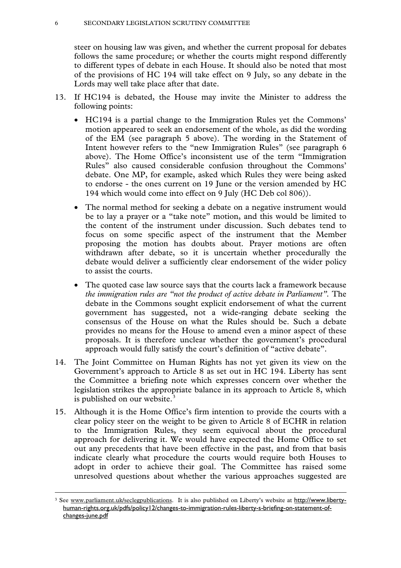steer on housing law was given, and whether the current proposal for debates follows the same procedure; or whether the courts might respond differently to different types of debate in each House. It should also be noted that most of the provisions of HC 194 will take effect on 9 July, so any debate in the Lords may well take place after that date.

- 13. If HC194 is debated, the House may invite the Minister to address the following points:
	- HC194 is a partial change to the Immigration Rules yet the Commons' motion appeared to seek an endorsement of the whole, as did the wording of the EM (see paragraph 5 above). The wording in the Statement of Intent however refers to the "new Immigration Rules" (see paragraph 6 above). The Home Office's inconsistent use of the term "Immigration Rules" also caused considerable confusion throughout the Commons' debate. One MP, for example, asked which Rules they were being asked to endorse - the ones current on 19 June or the version amended by HC 194 which would come into effect on 9 July (HC Deb col 806)).
	- The normal method for seeking a debate on a negative instrument would be to lay a prayer or a "take note" motion, and this would be limited to the content of the instrument under discussion. Such debates tend to focus on some specific aspect of the instrument that the Member proposing the motion has doubts about. Prayer motions are often withdrawn after debate, so it is uncertain whether procedurally the debate would deliver a sufficiently clear endorsement of the wider policy to assist the courts.
	- The quoted case law source says that the courts lack a framework because *the immigration rules are "not the product of active debate in Parliament".* The debate in the Commons sought explicit endorsement of what the current government has suggested, not a wide-ranging debate seeking the consensus of the House on what the Rules should be. Such a debate provides no means for the House to amend even a minor aspect of these proposals. It is therefore unclear whether the government's procedural approach would fully satisfy the court's definition of "active debate".
- 14. The Joint Committee on Human Rights has not yet given its view on the Government's approach to Article 8 as set out in HC 194. Liberty has sent the Committee a briefing note which expresses concern over whether the legislation strikes the appropriate balance in its approach to Article 8, which is published on our website. $3$
- 15. Although it is the Home Office's firm intention to provide the courts with a clear policy steer on the weight to be given to Article 8 of ECHR in relation to the Immigration Rules, they seem equivocal about the procedural approach for delivering it. We would have expected the Home Office to set out any precedents that have been effective in the past, and from that basis indicate clearly what procedure the courts would require both Houses to adopt in order to achieve their goal. The Committee has raised some unresolved questions about whether the various approaches suggested are

 $\overline{a}$ 

<span id="page-5-0"></span><sup>&</sup>lt;sup>3</sup> See [www.parliament.uk/seclegpublications](http://www.parliament.uk/seclegpublications). It is also published on Liberty's website at [http://www.liberty](http://www.liberty-human-rights.org.uk/pdfs/policy12/changes-to-immigration-rules-liberty-s-briefing-on-statement-of-changes-june.pdf)[human-rights.org.uk/pdfs/policy12/changes-to-immigration-rules-liberty-s-briefing-on-statement-of](http://www.liberty-human-rights.org.uk/pdfs/policy12/changes-to-immigration-rules-liberty-s-briefing-on-statement-of-changes-june.pdf)[changes-june.pdf](http://www.liberty-human-rights.org.uk/pdfs/policy12/changes-to-immigration-rules-liberty-s-briefing-on-statement-of-changes-june.pdf)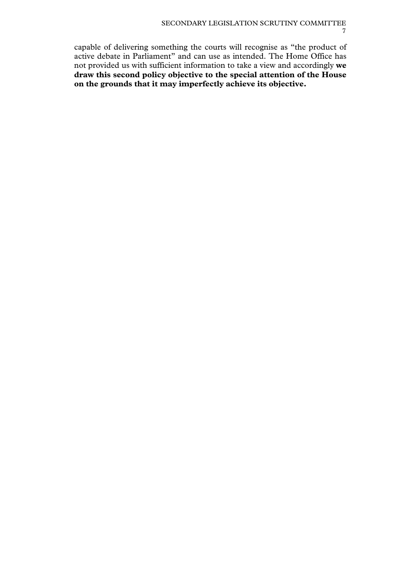capable of delivering something the courts will recognise as "the product of active debate in Parliament" and can use as intended. The Home Office has not provided us with sufficient information to take a view and accordingly **we draw this second policy objective to the special attention of the House on the grounds that it may imperfectly achieve its objective.**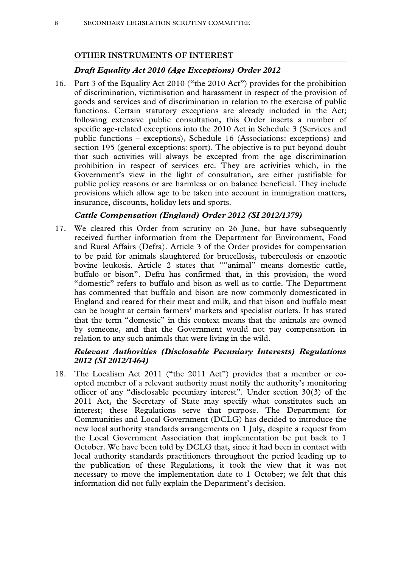#### **OTHER INSTRUMENTS OF INTEREST**

#### *Draft Equality Act 2010 (Age Exceptions) Order 2012*

16. Part 3 of the Equality Act 2010 ("the 2010 Act") provides for the prohibition of discrimination, victimisation and harassment in respect of the provision of goods and services and of discrimination in relation to the exercise of public functions. Certain statutory exceptions are already included in the Act; following extensive public consultation, this Order inserts a number of specific age-related exceptions into the 2010 Act in Schedule 3 (Services and public functions – exceptions), Schedule 16 (Associations: exceptions) and section 195 (general exceptions: sport). The objective is to put beyond doubt that such activities will always be excepted from the age discrimination prohibition in respect of services etc. They are activities which, in the Government's view in the light of consultation, are either justifiable for public policy reasons or are harmless or on balance beneficial. They include provisions which allow age to be taken into account in immigration matters, insurance, discounts, holiday lets and sports.

#### *Cattle Compensation (England) Order 2012 (SI 2012/1379)*

17. We cleared this Order from scrutiny on 26 June, but have subsequently received further information from the Department for Environment, Food and Rural Affairs (Defra). Article 3 of the Order provides for compensation to be paid for animals slaughtered for brucellosis, tuberculosis or enzootic bovine leukosis. Article 2 states that ""animal" means domestic cattle, buffalo or bison". Defra has confirmed that, in this provision, the word "domestic" refers to buffalo and bison as well as to cattle. The Department has commented that buffalo and bison are now commonly domesticated in England and reared for their meat and milk, and that bison and buffalo meat can be bought at certain farmers' markets and specialist outlets. It has stated that the term "domestic" in this context means that the animals are owned by someone, and that the Government would not pay compensation in relation to any such animals that were living in the wild.

#### *Relevant Authorities (Disclosable Pecuniary Interests) Regulations 2012 (SI 2012/1464)*

18. The Localism Act 2011 ("the 2011 Act") provides that a member or coopted member of a relevant authority must notify the authority's monitoring officer of any "disclosable pecuniary interest". Under section 30(3) of the 2011 Act, the Secretary of State may specify what constitutes such an interest; these Regulations serve that purpose. The Department for Communities and Local Government (DCLG) has decided to introduce the new local authority standards arrangements on 1 July, despite a request from the Local Government Association that implementation be put back to 1 October. We have been told by DCLG that, since it had been in contact with local authority standards practitioners throughout the period leading up to the publication of these Regulations, it took the view that it was not necessary to move the implementation date to 1 October; we felt that this information did not fully explain the Department's decision.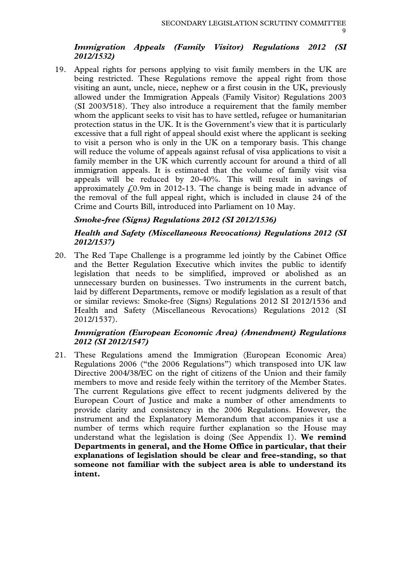*Immigration Appeals (Family Visitor) Regulations 2012 (SI 2012/1532)* 

19. Appeal rights for persons applying to visit family members in the UK are being restricted. These Regulations remove the appeal right from those visiting an aunt, uncle, niece, nephew or a first cousin in the UK, previously allowed under the Immigration Appeals (Family Visitor) Regulations 2003 (SI 2003/518). They also introduce a requirement that the family member whom the applicant seeks to visit has to have settled, refugee or humanitarian protection status in the UK. It is the Government's view that it is particularly excessive that a full right of appeal should exist where the applicant is seeking to visit a person who is only in the UK on a temporary basis. This change will reduce the volume of appeals against refusal of visa applications to visit a family member in the UK which currently account for around a third of all immigration appeals. It is estimated that the volume of family visit visa appeals will be reduced by 20-40%. This will result in savings of approximately  $f(0.9m)$  in 2012-13. The change is being made in advance of the removal of the full appeal right, which is included in clause 24 of the Crime and Courts Bill, introduced into Parliament on 10 May.

# *Smoke-free (Signs) Regulations 2012 (SI 2012/1536)*

# *Health and Safety (Miscellaneous Revocations) Regulations 2012 (SI 2012/1537)*

20. The Red Tape Challenge is a programme led jointly by the Cabinet Office and the Better Regulation Executive which invites the public to identify legislation that needs to be simplified, improved or abolished as an unnecessary burden on businesses. Two instruments in the current batch, laid by different Departments, remove or modify legislation as a result of that or similar reviews: Smoke-free (Signs) Regulations 2012 SI 2012/1536 and Health and Safety (Miscellaneous Revocations) Regulations 2012 (SI 2012/1537).

#### *Immigration (European Economic Area) (Amendment) Regulations 2012 (SI 2012/1547)*

21. These Regulations amend the Immigration (European Economic Area) Regulations 2006 ("the 2006 Regulations") which transposed into UK law Directive 2004/38/EC on the right of citizens of the Union and their family members to move and reside feely within the territory of the Member States. The current Regulations give effect to recent judgments delivered by the European Court of Justice and make a number of other amendments to provide clarity and consistency in the 2006 Regulations. However, the instrument and the Explanatory Memorandum that accompanies it use a number of terms which require further explanation so the House may understand what the legislation is doing (See Appendix 1). **We remind Departments in general, and the Home Office in particular, that their explanations of legislation should be clear and free-standing, so that someone not familiar with the subject area is able to understand its intent.**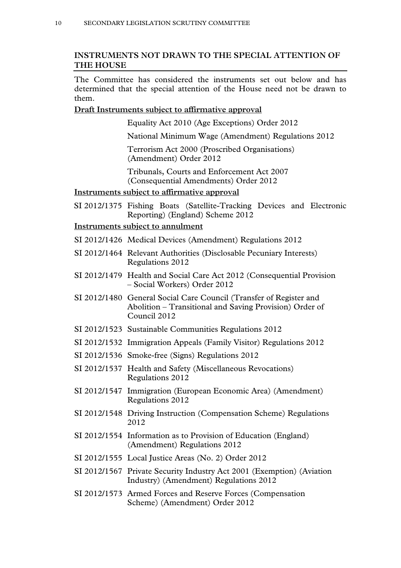#### **INSTRUMENTS NOT DRAWN TO THE SPECIAL ATTENTION OF THE HOUSE**

The Committee has considered the instruments set out below and has determined that the special attention of the House need not be drawn to them.

#### **Draft Instruments subject to affirmative approval**

Equality Act 2010 (Age Exceptions) Order 2012

National Minimum Wage (Amendment) Regulations 2012

Terrorism Act 2000 (Proscribed Organisations) (Amendment) Order 2012

Tribunals, Courts and Enforcement Act 2007 (Consequential Amendments) Order 2012

#### **Instruments subject to affirmative approval**

SI 2012/1375 Fishing Boats (Satellite-Tracking Devices and Electronic Reporting) (England) Scheme 2012

#### **Instruments subject to annulment**

- SI 2012/1426 Medical Devices (Amendment) Regulations 2012
- SI 2012/1464 Relevant Authorities (Disclosable Pecuniary Interests) Regulations 2012
- SI 2012/1479 Health and Social Care Act 2012 (Consequential Provision – Social Workers) Order 2012
- SI 2012/1480 General Social Care Council (Transfer of Register and Abolition – Transitional and Saving Provision) Order of Council 2012
- SI 2012/1523 Sustainable Communities Regulations 2012
- SI 2012/1532 Immigration Appeals (Family Visitor) Regulations 2012
- SI 2012/1536 Smoke-free (Signs) Regulations 2012
- SI 2012/1537 Health and Safety (Miscellaneous Revocations) Regulations 2012
- SI 2012/1547 Immigration (European Economic Area) (Amendment) Regulations 2012
- SI 2012/1548 Driving Instruction (Compensation Scheme) Regulations 2012
- SI 2012/1554 Information as to Provision of Education (England) (Amendment) Regulations 2012
- SI 2012/1555 Local Justice Areas (No. 2) Order 2012
- SI 2012/1567 Private Security Industry Act 2001 (Exemption) (Aviation Industry) (Amendment) Regulations 2012
- SI 2012/1573 Armed Forces and Reserve Forces (Compensation Scheme) (Amendment) Order 2012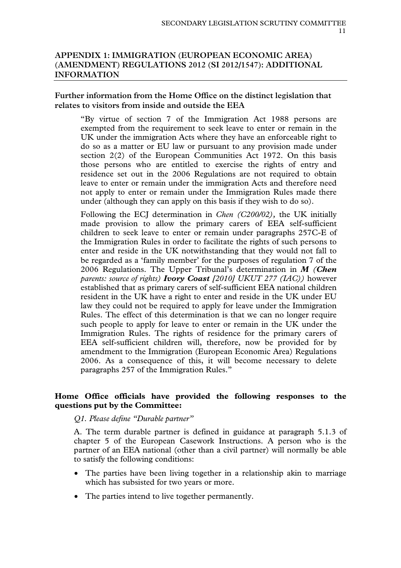# **APPENDIX 1: IMMIGRATION (EUROPEAN ECONOMIC AREA) (AMENDMENT) REGULATIONS 2012 (SI 2012/1547): ADDITIONAL INFORMATION**

#### **Further information from the Home Office on the distinct legislation that relates to visitors from inside and outside the EEA**

"By virtue of section 7 of the Immigration Act 1988 persons are exempted from the requirement to seek leave to enter or remain in the UK under the immigration Acts where they have an enforceable right to do so as a matter or EU law or pursuant to any provision made under section 2(2) of the European Communities Act 1972. On this basis those persons who are entitled to exercise the rights of entry and residence set out in the 2006 Regulations are not required to obtain leave to enter or remain under the immigration Acts and therefore need not apply to enter or remain under the Immigration Rules made there under (although they can apply on this basis if they wish to do so).

Following the ECJ determination in *Chen (C200/02),* the UK initially made provision to allow the primary carers of EEA self-sufficient children to seek leave to enter or remain under paragraphs 257C-E of the Immigration Rules in order to facilitate the rights of such persons to enter and reside in the UK notwithstanding that they would not fall to be regarded as a 'family member' for the purposes of regulation 7 of the 2006 Regulations. The Upper Tribunal's determination in *M (Chen parents: source of rights) Ivory Coast [2010] UKUT 277 (IAC))* however established that as primary carers of self-sufficient EEA national children resident in the UK have a right to enter and reside in the UK under EU law they could not be required to apply for leave under the Immigration Rules. The effect of this determination is that we can no longer require such people to apply for leave to enter or remain in the UK under the Immigration Rules. The rights of residence for the primary carers of EEA self-sufficient children will, therefore, now be provided for by amendment to the Immigration (European Economic Area) Regulations 2006. As a consequence of this, it will become necessary to delete paragraphs 257 of the Immigration Rules."

#### **Home Office officials have provided the following responses to the questions put by the Committee:**

#### *Q1. Please define "Durable partner"*

A. The term durable partner is defined in guidance at paragraph 5.1.3 of chapter 5 of the European Casework Instructions. A person who is the partner of an EEA national (other than a civil partner) will normally be able to satisfy the following conditions:

- The parties have been living together in a relationship akin to marriage which has subsisted for two years or more.
- The parties intend to live together permanently.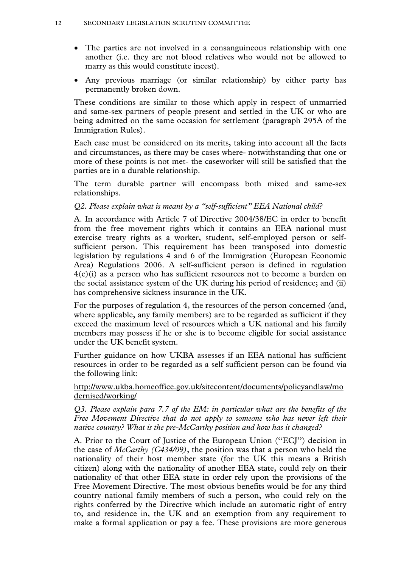- The parties are not involved in a consanguineous relationship with one another (i.e. they are not blood relatives who would not be allowed to marry as this would constitute incest).
- Any previous marriage (or similar relationship) by either party has permanently broken down.

These conditions are similar to those which apply in respect of unmarried and same-sex partners of people present and settled in the UK or who are being admitted on the same occasion for settlement (paragraph 295A of the Immigration Rules).

Each case must be considered on its merits, taking into account all the facts and circumstances, as there may be cases where- notwithstanding that one or more of these points is not met- the caseworker will still be satisfied that the parties are in a durable relationship.

The term durable partner will encompass both mixed and same-sex relationships.

#### *Q2. Please explain what is meant by a "self-sufficient" EEA National child?*

A. In accordance with Article 7 of Directive 2004/38/EC in order to benefit from the free movement rights which it contains an EEA national must exercise treaty rights as a worker, student, self-employed person or selfsufficient person. This requirement has been transposed into domestic legislation by regulations 4 and 6 of the Immigration (European Economic Area) Regulations 2006. A self-sufficient person is defined in regulation 4(c)(i) as a person who has sufficient resources not to become a burden on the social assistance system of the UK during his period of residence; and (ii) has comprehensive sickness insurance in the UK.

For the purposes of regulation 4, the resources of the person concerned (and, where applicable, any family members) are to be regarded as sufficient if they exceed the maximum level of resources which a UK national and his family members may possess if he or she is to become eligible for social assistance under the UK benefit system.

Further guidance on how UKBA assesses if an EEA national has sufficient resources in order to be regarded as a self sufficient person can be found via the following link:

#### [http://www.ukba.homeoffice.gov.uk/sitecontent/documents/policyandlaw/mo](http://www.ukba.homeoffice.gov.uk/sitecontent/documents/policyandlaw/modernised/working/) [dernised/working/](http://www.ukba.homeoffice.gov.uk/sitecontent/documents/policyandlaw/modernised/working/)

#### *Q3. Please explain para 7.7 of the EM: in particular what are the benefits of the Free Movement Directive that do not apply to someone who has never left their native country? What is the pre-McCarthy position and how has it changed?*

A. Prior to the Court of Justice of the European Union (''ECJ'') decision in the case of *McCarthy (C434/09)*, the position was that a person who held the nationality of their host member state (for the UK this means a British citizen) along with the nationality of another EEA state, could rely on their nationality of that other EEA state in order rely upon the provisions of the Free Movement Directive. The most obvious benefits would be for any third country national family members of such a person, who could rely on the rights conferred by the Directive which include an automatic right of entry to, and residence in, the UK and an exemption from any requirement to make a formal application or pay a fee. These provisions are more generous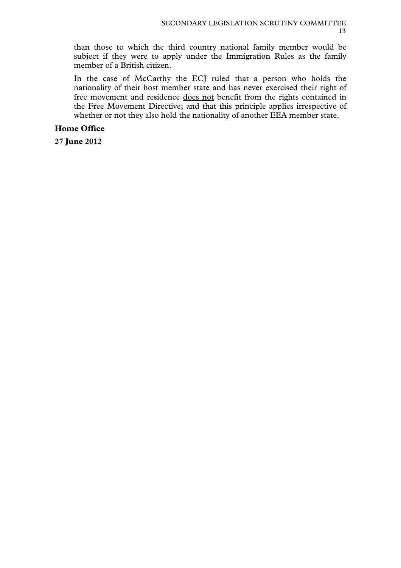than those to which the third country national family member would be subject if they were to apply under the Immigration Rules as the family member of a British citizen.

In the case of McCarthy the ECJ ruled that a person who holds the nationality of their host member state and has never exercised their right of free movement and residence does not benefit from the rights contained in the Free Movement Directive; and that this principle applies irrespective of whether or not they also hold the nationality of another EEA member state.

#### **Home Office**

**27 June 2012**